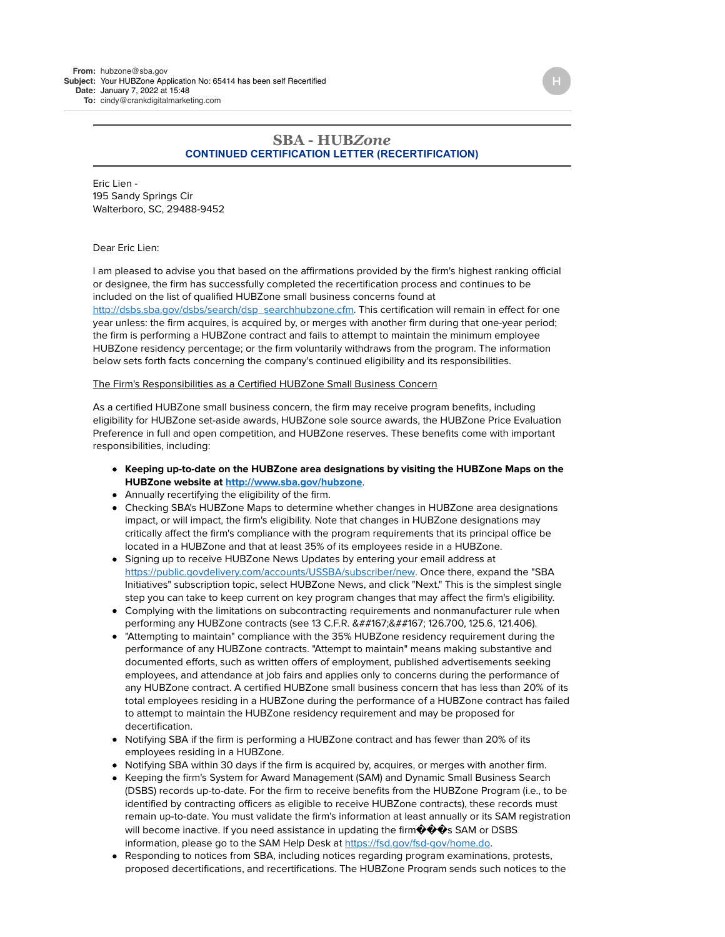## **SBA - HUB***Zone* **CONTINUED CERTIFICATION LETTER (RECERTIFICATION)**

Eric Lien - 195 Sandy Springs Cir Walterboro, SC, 29488-9452

## Dear Eric Lien:

I am pleased to advise you that based on the affirmations provided by the firm's highest ranking official or designee, the firm has successfully completed the recertification process and continues to be included on the list of qualified HUBZone small business concerns found at [http://dsbs.sba.gov/dsbs/search/dsp\\_searchhubzone.cfm.](http://dsbs.sba.gov/dsbs/search/dsp_searchhubzone.cfm) This certification will remain in effect for one year unless: the firm acquires, is acquired by, or merges with another firm during that one-year period; the firm is performing a HUBZone contract and fails to attempt to maintain the minimum employee HUBZone residency percentage; or the firm voluntarily withdraws from the program. The information below sets forth facts concerning the company's continued eligibility and its responsibilities.

## The Firm's Responsibilities as a Certified HUBZone Small Business Concern

As a certified HUBZone small business concern, the firm may receive program benefits, including eligibility for HUBZone set-aside awards, HUBZone sole source awards, the HUBZone Price Evaluation Preference in full and open competition, and HUBZone reserves. These benefits come with important responsibilities, including:

- **Keeping up-to-date on the HUBZone area designations by visiting the HUBZone Maps on the HUBZone website at <http://www.sba.gov/hubzone>**.
- Annually recertifying the eligibility of the firm.
- Checking SBA's HUBZone Maps to determine whether changes in HUBZone area designations impact, or will impact, the firm's eligibility. Note that changes in HUBZone designations may critically affect the firm's compliance with the program requirements that its principal office be located in a HUBZone and that at least 35% of its employees reside in a HUBZone.
- Signing up to receive HUBZone News Updates by entering your email address at [https://public.govdelivery.com/accounts/USSBA/subscriber/new.](https://public.govdelivery.com/accounts/USSBA/subscriber/new) Once there, expand the "SBA Initiatives" subscription topic, select HUBZone News, and click "Next." This is the simplest single step you can take to keep current on key program changes that may affect the firm's eligibility.
- Complying with the limitations on subcontracting requirements and nonmanufacturer rule when performing any HUBZone contracts (see 13 C.F.R. &##167;&##167; 126.700, 125.6, 121.406).
- "Attempting to maintain" compliance with the 35% HUBZone residency requirement during the performance of any HUBZone contracts. "Attempt to maintain" means making substantive and documented efforts, such as written offers of employment, published advertisements seeking employees, and attendance at job fairs and applies only to concerns during the performance of any HUBZone contract. A certified HUBZone small business concern that has less than 20% of its total employees residing in a HUBZone during the performance of a HUBZone contract has failed to attempt to maintain the HUBZone residency requirement and may be proposed for decertification.
- Notifying SBA if the firm is performing a HUBZone contract and has fewer than 20% of its employees residing in a HUBZone.
- Notifying SBA within 30 days if the firm is acquired by, acquires, or merges with another firm.
- Keeping the firm's System for Award Management (SAM) and Dynamic Small Business Search (DSBS) records up-to-date. For the firm to receive benefits from the HUBZone Program (i.e., to be identified by contracting officers as eligible to receive HUBZone contracts), these records must remain up-to-date. You must validate the firm's information at least annually or its SAM registration will become inactive. If you need assistance in updating the firm  $\Diamond \Diamond \Diamond s$  SAM or DSBS information, please go to the SAM Help Desk at<https://fsd.gov/fsd-gov/home.do>.
- Responding to notices from SBA, including notices regarding program examinations, protests, proposed decertifications, and recertifications. The HUBZone Program sends such notices to the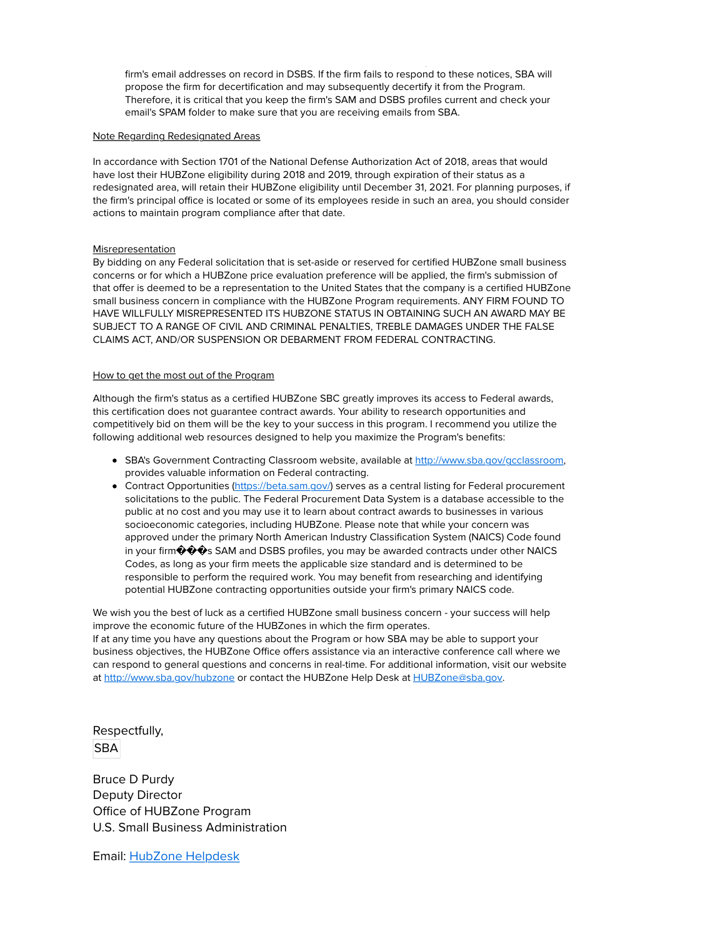proposed decertifications, and recertifications. The HUBZone Program sends such notices to the firm's email addresses on record in DSBS. If the firm fails to respond to these notices, SBA will propose the firm for decertification and may subsequently decertify it from the Program. Therefore, it is critical that you keep the firm's SAM and DSBS profiles current and check your email's SPAM folder to make sure that you are receiving emails from SBA.

## Note Regarding Redesignated Areas

In accordance with Section 1701 of the National Defense Authorization Act of 2018, areas that would have lost their HUBZone eligibility during 2018 and 2019, through expiration of their status as a redesignated area, will retain their HUBZone eligibility until December 31, 2021. For planning purposes, if the firm's principal office is located or some of its employees reside in such an area, you should consider actions to maintain program compliance after that date.

## Misrepresentation

By bidding on any Federal solicitation that is set-aside or reserved for certified HUBZone small business concerns or for which a HUBZone price evaluation preference will be applied, the firm's submission of that offer is deemed to be a representation to the United States that the company is a certified HUBZone small business concern in compliance with the HUBZone Program requirements. ANY FIRM FOUND TO HAVE WILLFULLY MISREPRESENTED ITS HUBZONE STATUS IN OBTAINING SUCH AN AWARD MAY BE SUBJECT TO A RANGE OF CIVIL AND CRIMINAL PENALTIES, TREBLE DAMAGES UNDER THE FALSE CLAIMS ACT, AND/OR SUSPENSION OR DEBARMENT FROM FEDERAL CONTRACTING.

## How to get the most out of the Program

Although the firm's status as a certified HUBZone SBC greatly improves its access to Federal awards, this certification does not guarantee contract awards. Your ability to research opportunities and competitively bid on them will be the key to your success in this program. I recommend you utilize the following additional web resources designed to help you maximize the Program's benefits:

- SBA's Government Contracting Classroom website, available at <http://www.sba.gov/gcclassroom>, provides valuable information on Federal contracting.
- **Contract Opportunities [\(https://beta.sam.gov/](https://beta.sam.gov/)) serves as a central listing for Federal procurement** solicitations to the public. The Federal Procurement Data System is a database accessible to the public at no cost and you may use it to learn about contract awards to businesses in various socioeconomic categories, including HUBZone. Please note that while your concern was approved under the primary North American Industry Classification System (NAICS) Code found in your firm  $\hat{\boldsymbol{\psi}}\hat{\boldsymbol{\psi}}\hat{\mathbf{s}}$  SAM and DSBS profiles, you may be awarded contracts under other NAICS Codes, as long as your firm meets the applicable size standard and is determined to be responsible to perform the required work. You may benefit from researching and identifying potential HUBZone contracting opportunities outside your firm's primary NAICS code.

We wish you the best of luck as a certified HUBZone small business concern - your success will help improve the economic future of the HUBZones in which the firm operates. If at any time you have any questions about the Program or how SBA may be able to support your business objectives, the HUBZone Office offers assistance via an interactive conference call where we can respond to general questions and concerns in real-time. For additional information, visit our website at<http://www.sba.gov/hubzone> or contact the HUBZone Help Desk at [HUBZone@sba.gov](mailto:HUBZone@sba.gov).

Respectfully, SBA

Bruce D Purdy Deputy Director Office of HUBZone Program U.S. Small Business Administration

Email: [HubZone Helpdesk](mailto:hubzone@sba.gov)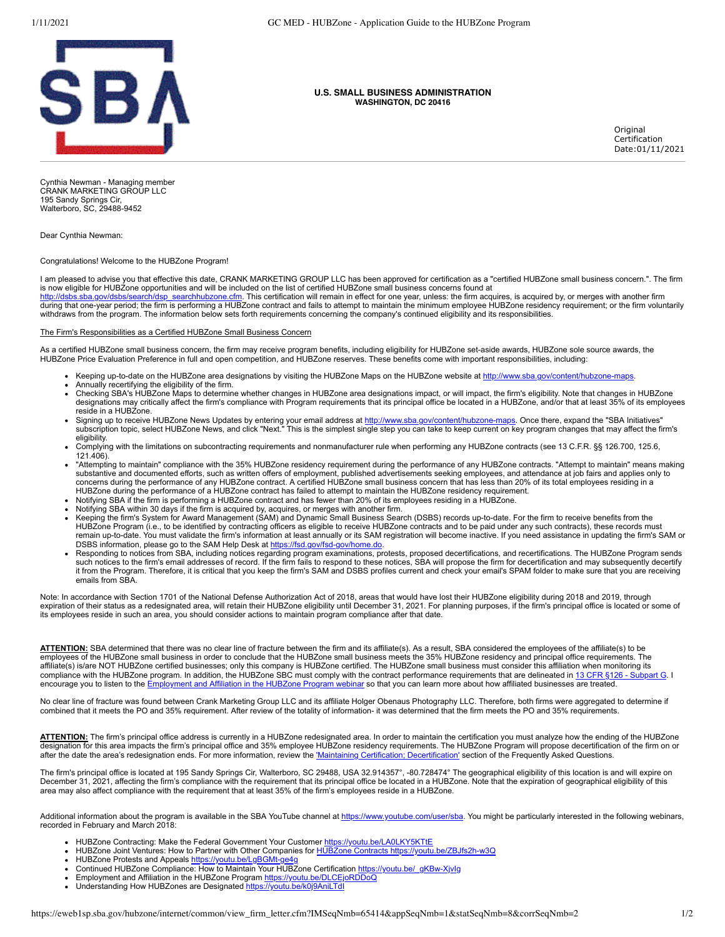

#### **U.S. SMALL BUSINESS ADMINISTRATION WASHINGTON, DC 20416**

Original Certification Date:01/11/2021

Cynthia Newman - Managing member CRANK MARKETING GROUP LLC 195 Sandy Springs Cir, Walterboro, SC, 29488-9452

Dear Cynthia Newman:

Congratulations! Welcome to the HUBZone Program!

I am pleased to advise you that effective this date, CRANK MARKETING GROUP LLC has been approved for certification as a "certified HUBZone small business concern.". The firm is now eligible for HUBZone opportunities and will be included on the list of certified HUBZone small business concerns found at

.sba.gov/dsbs/search/dsp\_searchhubzone.cfm. This certification will remain in effect for one year, unless: the firm acquires, is acquired by, or merges with another firm during that one-year period; the firm is performing a HUBZone contract and fails to attempt to maintain the minimum employee HUBZone residency requirement; or the firm voluntarily withdraws from the program. The information below sets forth requirements concerning the company's continued eligibility and its responsibilities.

### The Firm's Responsibilities as a Certified HUBZone Small Business Concern

As a certified HUBZone small business concern, the firm may receive program benefits, including eligibility for HUBZone set-aside awards, HUBZone sole source awards, the HUBZone Price Evaluation Preference in full and open competition, and HUBZone reserves. These benefits come with important responsibilities, including:

- Keeping up-to-date on the HUBZone area designations by visiting the HUBZone Maps on the HUBZone website at <http://www.sba.gov/content/hubzone-maps>.
- Annually recertifying the eligibility of the firm.
- Checking SBA's HUBZone Maps to determine whether changes in HUBZone area designations impact, or will impact, the firm's eligibility. Note that changes in HUBZone designations may critically affect the firm's compliance with Program requirements that its principal office be located in a HUBZone, and/or that at least 35% of its employees reside in a HUBZone.
- Signing up to receive HUBZone News Updates by entering your email address at <u>http://www.sba.gov/content/hubzone-maps</u>. Once there, expand the "SBA Initiatives"<br>subscription topic, select HUBZone News, and click "Next." Th eligibility.
- Complying with the limitations on subcontracting requirements and nonmanufacturer rule when performing any HUBZone contracts (see 13 C.F.R. §§ 126.700, 125.6, 121.406).
- "Attempting to maintain" compliance with the 35% HUBZone residency requirement during the performance of any HUBZone contracts. "Attempt to maintain" means making substantive and documented efforts, such as written offers of employment, published advertisements seeking employees, and attendance at job fairs and applies only to concerns during the performance of any HUBZone contract. A certified HUBZone small business concern that has less than 20% of its total employees residing in a<br>HUBZone during the performance of a HUBZone contract has faile
- Notifying SBA if the firm is performing a HUBZone contract and has fewer than 20% of its employees residing in a HUBZone.
- Notifying SBA within 30 days if the firm is acquired by, acquires, or merges with another firm.
- Keeping the firm's System for Award Management (SAM) and Dynamic Small Business Search (DSBS) records up-to-date. For the firm to receive benefits from the HUBZone Program (i.e., to be identified by contracting officers as eligible to receive HUBZone contracts and to be paid under any such contracts), these records must remain up-to-date. You must validate the firm's information at least annually or its SAM registration will become inactive. If you need assistance in updating the firm's SAM or<br>DSBS information, please go to the SAM Help D
- it from the Program. Therefore, it is critical that you keep the firm's SAM and DSBS profiles current and check your email's SPAM folder to make sure that you are receiving emails from SBA.

Note: In accordance with Section 1701 of the National Defense Authorization Act of 2018, areas that would have lost their HUBZone eligibility during 2018 and 2019, through expiration of their status as a redesignated area, will retain their HUBZone eligibility until December 31, 2021. For planning purposes, if the firm's principal office is located or some of its employees reside in such an area, you should consider actions to maintain program compliance after that date.

**ATTENTION:** SBA determined that there was no clear line of fracture between the firm and its affiliate(s). As a result, SBA considered the employees of the affiliate(s) to be employees of the HUBZone small business in order to conclude that the HUBZone small business meets the 35% HUBZone residency and principal office requirements. The<br>affiliate(s) is/are NOT HUBZone certified businesses; only compliance with the HUBZone program. In addition, the HUBZone SBC must comply with the contract performance requirements that are delineated in 13 CFR § encourage you to listen to the [Employment and Affiliation in the HUBZone Program webinar](https://youtu.be/DLCEjoRDDoQ) so that you can learn more about how affiliated businesses are treated.

No clear line of fracture was found between Crank Marketing Group LLC and its affiliate Holger Obenaus Photography LLC. Therefore, both firms were aggregated to determine if combined that it meets the PO and 35% requirement. After review of the totality of information- it was determined that the firm meets the PO and 35% requirements.

ATTENTION: The firm's principal office address is currently in a HUBZone redesignated area. In order to maintain the certification you must analyze how the ending of the HUBZone designation for this area impacts the firm's principal office and 35% employee HUBZone residency requirements. The HUBZone Program will propose decertification of the firm on or after the date the area's redesignation ends. For more information, review the ['Maintaining Certification; Decertification'](https://www.sba.gov/content/frequently-asked-questions#maintaining) section of the Frequently Asked Questions.

The firm's principal office is located at 195 Sandy Springs Cir, Walterboro, SC 29488, USA 32.914357°, -80.728474° The geographical eligibility of this location is and will expire on<br>December 31, 2021, affecting the firm's area may also affect compliance with the requirement that at least 35% of the firm's employees reside in a HUBZone.

Additional information about the program is available in the SBA YouTube channel at<https://www.youtube.com/user/sba>. You might be particularly interested in the following webinars, recorded in February and March 2018:

- 
- HUBZone Contracting: Make the Federal Government Your Customer <u>https://youtu.be/LA0LKY5KTtE</u><br>HUBZone Joint Ventures: How to Partner with Other Companies for <u>HUBZone Contracts https://youtu.be/ZBJfs2h-w3Q</u>
- HUBZone Protests and Appeals https://youtu.be/LgBGMt-ge
- Continued HUBZone Compliance: How to Maintain Your HUBZone Certification [https://youtu.be/\\_gKBw-XjvIg](https://youtu.be/_gKBw-XjvIg)
- Employment and Affiliation in the HUBZone Program<https://youtu.be/DLCEjoRDDoQ>
- Understanding How HUBZones are Designated <https://youtu.be/k0j9AniLTdI>